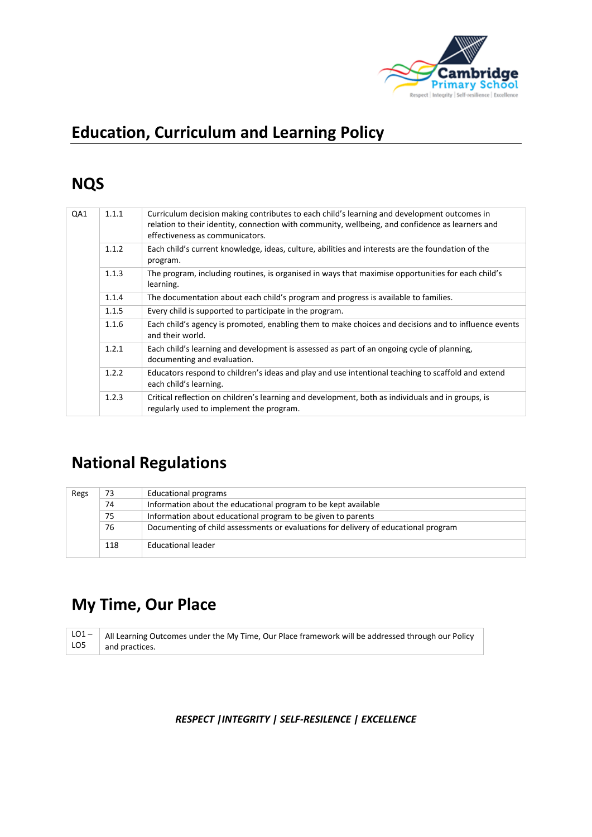

# **Education, Curriculum and Learning Policy**

# **NQS**

| QA1 | 1.1.1 | Curriculum decision making contributes to each child's learning and development outcomes in<br>relation to their identity, connection with community, wellbeing, and confidence as learners and<br>effectiveness as communicators. |
|-----|-------|------------------------------------------------------------------------------------------------------------------------------------------------------------------------------------------------------------------------------------|
|     | 1.1.2 | Each child's current knowledge, ideas, culture, abilities and interests are the foundation of the<br>program.                                                                                                                      |
|     | 1.1.3 | The program, including routines, is organised in ways that maximise opportunities for each child's<br>learning.                                                                                                                    |
|     | 1.1.4 | The documentation about each child's program and progress is available to families.                                                                                                                                                |
|     | 1.1.5 | Every child is supported to participate in the program.                                                                                                                                                                            |
|     | 1.1.6 | Each child's agency is promoted, enabling them to make choices and decisions and to influence events<br>and their world.                                                                                                           |
|     | 1.2.1 | Each child's learning and development is assessed as part of an ongoing cycle of planning,<br>documenting and evaluation.                                                                                                          |
|     | 1.2.2 | Educators respond to children's ideas and play and use intentional teaching to scaffold and extend<br>each child's learning.                                                                                                       |
|     | 1.2.3 | Critical reflection on children's learning and development, both as individuals and in groups, is<br>regularly used to implement the program.                                                                                      |

# **National Regulations**

| Regs | 73                                                           | <b>Educational programs</b>                                                         |  |  |  |
|------|--------------------------------------------------------------|-------------------------------------------------------------------------------------|--|--|--|
|      | 74                                                           | Information about the educational program to be kept available                      |  |  |  |
|      | Information about educational program to be given to parents |                                                                                     |  |  |  |
|      | 76                                                           | Documenting of child assessments or evaluations for delivery of educational program |  |  |  |
|      | 118                                                          | Educational leader                                                                  |  |  |  |

## **My Time, Our Place**

 $LO1 -$ LO5 All Learning Outcomes under the My Time, Our Place framework will be addressed through our Policy and practices.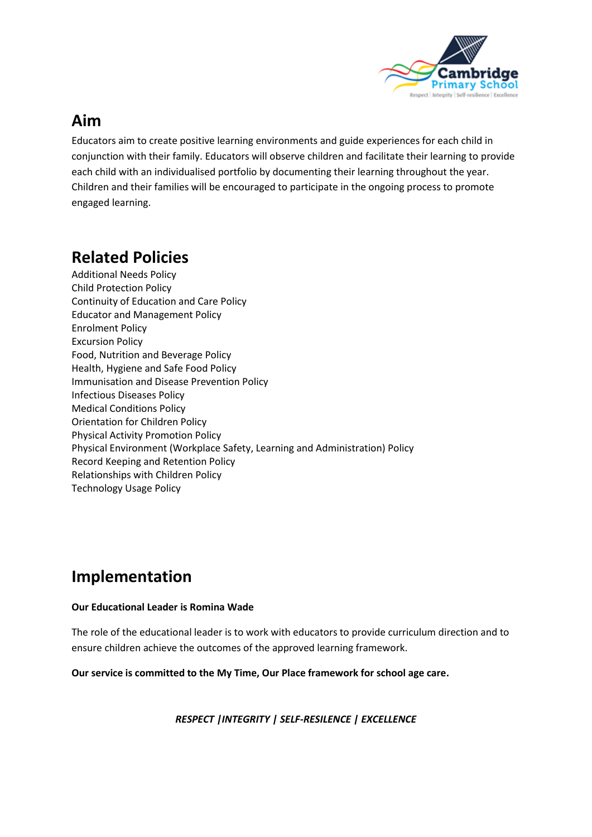

## **Aim**

Educators aim to create positive learning environments and guide experiences for each child in conjunction with their family. Educators will observe children and facilitate their learning to provide each child with an individualised portfolio by documenting their learning throughout the year. Children and their families will be encouraged to participate in the ongoing process to promote engaged learning.

# **Related Policies**

Additional Needs Policy Child Protection Policy Continuity of Education and Care Policy Educator and Management Policy Enrolment Policy Excursion Policy Food, Nutrition and Beverage Policy Health, Hygiene and Safe Food Policy Immunisation and Disease Prevention Policy Infectious Diseases Policy Medical Conditions Policy Orientation for Children Policy Physical Activity Promotion Policy Physical Environment (Workplace Safety, Learning and Administration) Policy Record Keeping and Retention Policy Relationships with Children Policy Technology Usage Policy

## **Implementation**

#### **Our Educational Leader is Romina Wade**

The role of the educational leader is to work with educators to provide curriculum direction and to ensure children achieve the outcomes of the approved learning framework.

**Our service is committed to the My Time, Our Place framework for school age care.**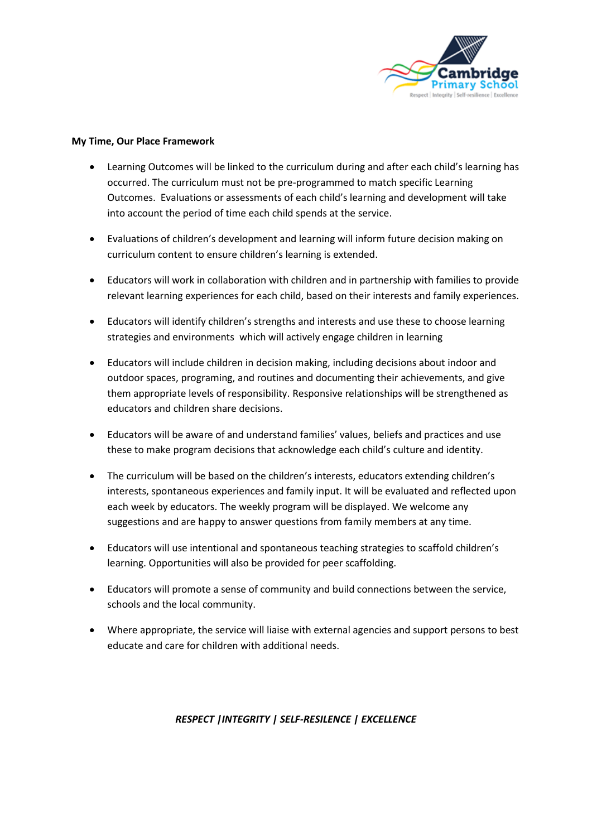

#### **My Time, Our Place Framework**

- Learning Outcomes will be linked to the curriculum during and after each child's learning has occurred. The curriculum must not be pre-programmed to match specific Learning Outcomes. Evaluations or assessments of each child's learning and development will take into account the period of time each child spends at the service.
- Evaluations of children's development and learning will inform future decision making on curriculum content to ensure children's learning is extended.
- Educators will work in collaboration with children and in partnership with families to provide relevant learning experiences for each child, based on their interests and family experiences.
- Educators will identify children's strengths and interests and use these to choose learning strategies and environments which will actively engage children in learning
- Educators will include children in decision making, including decisions about indoor and outdoor spaces, programing, and routines and documenting their achievements, and give them appropriate levels of responsibility. Responsive relationships will be strengthened as educators and children share decisions.
- Educators will be aware of and understand families' values, beliefs and practices and use these to make program decisions that acknowledge each child's culture and identity.
- The curriculum will be based on the children's interests, educators extending children's interests, spontaneous experiences and family input. It will be evaluated and reflected upon each week by educators. The weekly program will be displayed. We welcome any suggestions and are happy to answer questions from family members at any time.
- Educators will use intentional and spontaneous teaching strategies to scaffold children's learning. Opportunities will also be provided for peer scaffolding.
- Educators will promote a sense of community and build connections between the service, schools and the local community.
- Where appropriate, the service will liaise with external agencies and support persons to best educate and care for children with additional needs.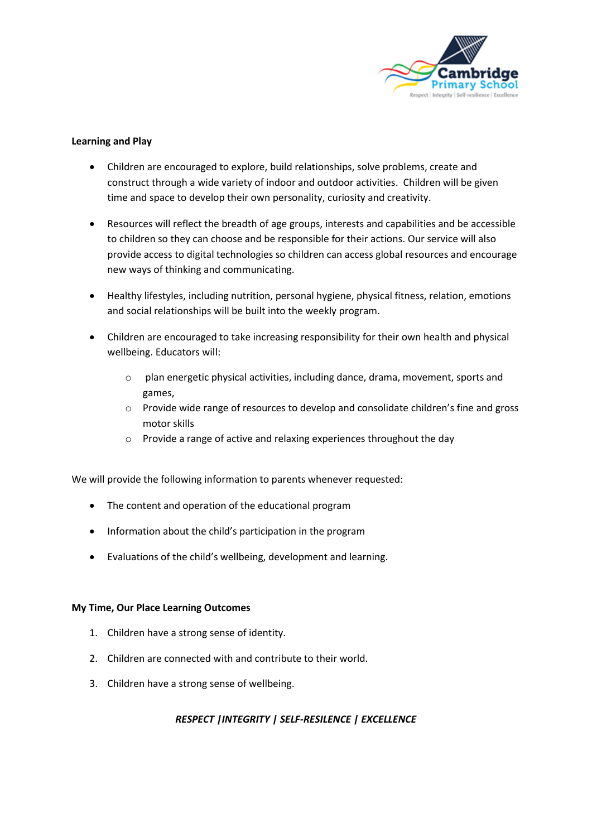

#### **Learning and Play**

- Children are encouraged to explore, build relationships, solve problems, create and construct through a wide variety of indoor and outdoor activities. Children will be given time and space to develop their own personality, curiosity and creativity.
- Resources will reflect the breadth of age groups, interests and capabilities and be accessible to children so they can choose and be responsible for their actions. Our service will also provide access to digital technologies so children can access global resources and encourage new ways of thinking and communicating.
- Healthy lifestyles, including nutrition, personal hygiene, physical fitness, relation, emotions and social relationships will be built into the weekly program.
- Children are encouraged to take increasing responsibility for their own health and physical wellbeing. Educators will:
	- o plan energetic physical activities, including dance, drama, movement, sports and games,
	- o Provide wide range of resources to develop and consolidate children's fine and gross motor skills
	- o Provide a range of active and relaxing experiences throughout the day

We will provide the following information to parents whenever requested:

- The content and operation of the educational program
- Information about the child's participation in the program
- Evaluations of the child's wellbeing, development and learning.

#### **My Time, Our Place Learning Outcomes**

- 1. Children have a strong sense of identity.
- 2. Children are connected with and contribute to their world.
- 3. Children have a strong sense of wellbeing.